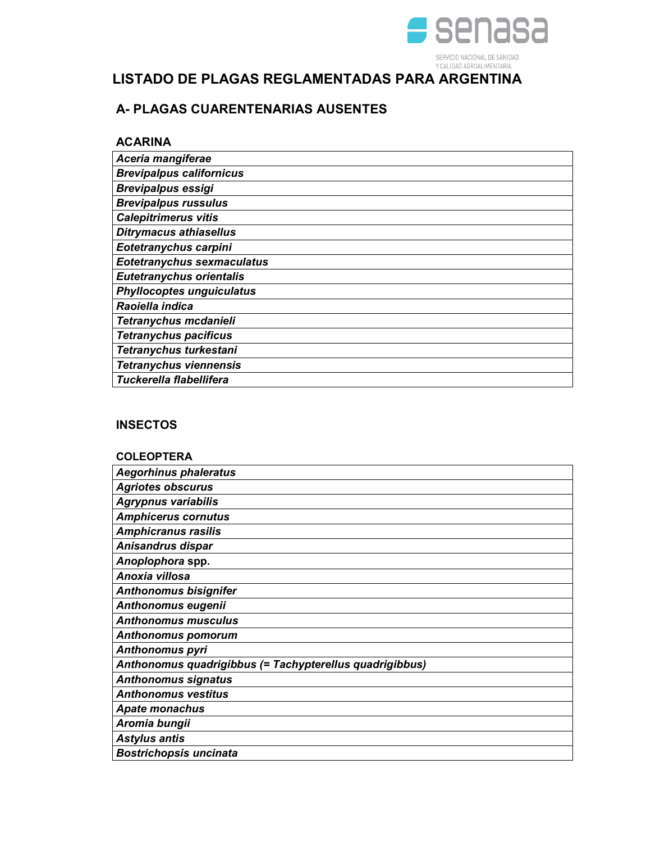

# LISTADO DE PLAGAS REGLAMENTADAS PARA ARGENTINA

# A- PLAGAS CUARENTENARIAS AUSENTES

### ACARINA

| Aceria mangiferae                 |
|-----------------------------------|
| <b>Brevipalpus californicus</b>   |
| <b>Brevipalpus essigi</b>         |
| <b>Brevipalpus russulus</b>       |
| <b>Calepitrimerus vitis</b>       |
| <b>Ditrymacus athiasellus</b>     |
| Eotetranychus carpini             |
| <b>Eotetranychus sexmaculatus</b> |
| <b>Eutetranychus orientalis</b>   |
| <b>Phyllocoptes unguiculatus</b>  |
| Raoiella indica                   |
| Tetranychus mcdanieli             |
| <b>Tetranychus pacificus</b>      |
| Tetranychus turkestani            |
| <b>Tetranychus viennensis</b>     |
| Tuckerella flabellifera           |

## **INSECTOS**

| <b>COLEOPTERA</b>                                       |
|---------------------------------------------------------|
| <b>Aegorhinus phaleratus</b>                            |
| <b>Agriotes obscurus</b>                                |
| <b>Agrypnus variabilis</b>                              |
| <b>Amphicerus cornutus</b>                              |
| <b>Amphicranus rasilis</b>                              |
| Anisandrus dispar                                       |
| Anoplophora spp.                                        |
| Anoxia villosa                                          |
| <b>Anthonomus bisignifer</b>                            |
| Anthonomus eugenii                                      |
| <b>Anthonomus musculus</b>                              |
| <b>Anthonomus pomorum</b>                               |
| <b>Anthonomus pyri</b>                                  |
| Anthonomus quadrigibbus (= Tachypterellus quadrigibbus) |
| <b>Anthonomus signatus</b>                              |
| <b>Anthonomus vestitus</b>                              |
| <b>Apate monachus</b>                                   |
| Aromia bungii                                           |
| <b>Astylus antis</b>                                    |
| <b>Bostrichopsis uncinata</b>                           |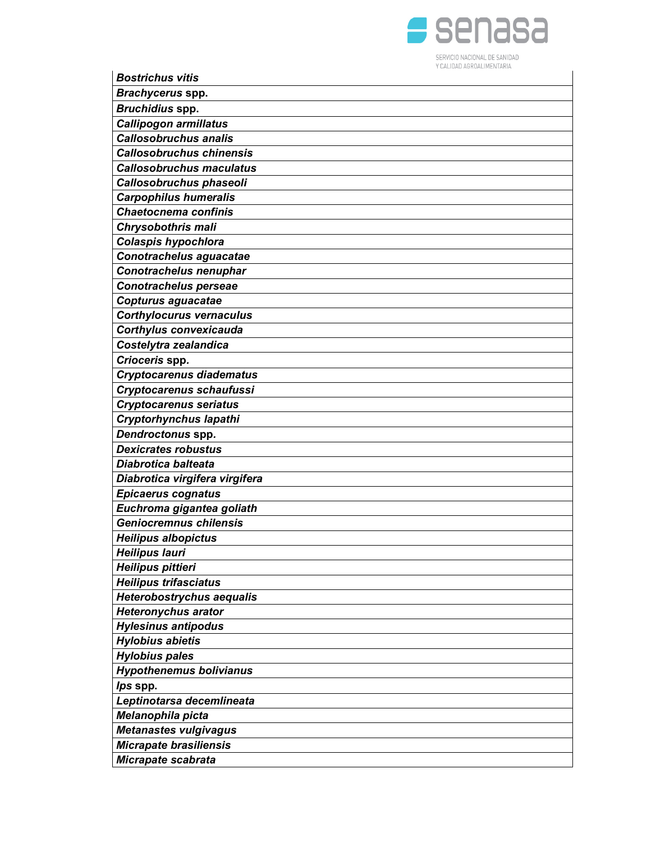

| <b>Bostrichus vitis</b>                           |
|---------------------------------------------------|
| Brachycerus spp.                                  |
| Bruchidius spp.                                   |
| Callipogon armillatus                             |
| <b>Callosobruchus analis</b>                      |
| <b>Callosobruchus chinensis</b>                   |
| <b>Callosobruchus maculatus</b>                   |
| Callosobruchus phaseoli                           |
| <b>Carpophilus humeralis</b>                      |
| <b>Chaetocnema confinis</b>                       |
| Chrysobothris mali                                |
| Colaspis hypochlora                               |
| Conotrachelus aguacatae                           |
| Conotrachelus nenuphar                            |
| <b>Conotrachelus perseae</b>                      |
| Copturus aguacatae                                |
| <b>Corthylocurus vernaculus</b>                   |
| <b>Corthylus convexicauda</b>                     |
| Costelytra zealandica                             |
| Crioceris spp.                                    |
| <b>Cryptocarenus diadematus</b>                   |
| Cryptocarenus schaufussi                          |
| <b>Cryptocarenus seriatus</b>                     |
| Cryptorhynchus lapathi                            |
| Dendroctonus spp.                                 |
| <b>Dexicrates robustus</b>                        |
| Diabrotica balteata                               |
| Diabrotica virgifera virgifera                    |
| <b>Epicaerus cognatus</b>                         |
| Euchroma gigantea goliath                         |
| <b>Geniocremnus chilensis</b>                     |
| <b>Heilipus albopictus</b>                        |
| <b>Heilipus lauri</b>                             |
| Heilipus pittieri<br><b>Heilipus trifasciatus</b> |
| <b>Heterobostrychus aequalis</b>                  |
| <b>Heteronychus arator</b>                        |
| <b>Hylesinus antipodus</b>                        |
| <b>Hylobius abietis</b>                           |
| <b>Hylobius pales</b>                             |
| <b>Hypothenemus bolivianus</b>                    |
| lps spp.                                          |
| Leptinotarsa decemlineata                         |
| Melanophila picta                                 |
| Metanastes vulgivagus                             |
| Micrapate brasiliensis                            |
| Micrapate scabrata                                |
|                                                   |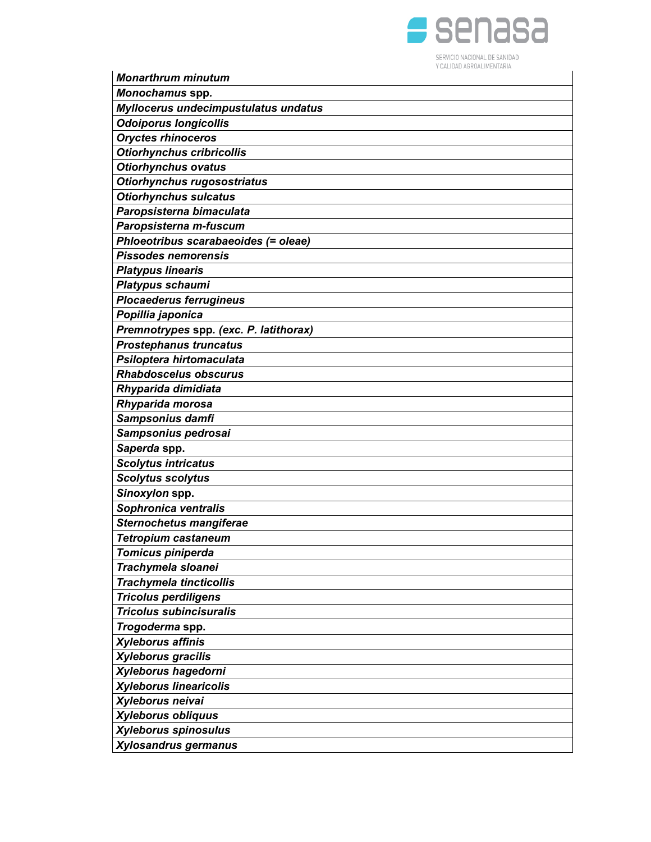

| <b>Monarthrum minutum</b>              |
|----------------------------------------|
| Monochamus spp.                        |
| Myllocerus undecimpustulatus undatus   |
| <b>Odoiporus longicollis</b>           |
| <b>Oryctes rhinoceros</b>              |
| <b>Otiorhynchus cribricollis</b>       |
| <b>Otiorhynchus ovatus</b>             |
| Otiorhynchus rugosostriatus            |
| <b>Otiorhynchus sulcatus</b>           |
| Paropsisterna bimaculata               |
| Paropsisterna m-fuscum                 |
| Phloeotribus scarabaeoides (= oleae)   |
| <b>Pissodes nemorensis</b>             |
| <b>Platypus linearis</b>               |
| Platypus schaumi                       |
| <b>Plocaederus ferrugineus</b>         |
| Popillia japonica                      |
| Premnotrypes spp. (exc. P. latithorax) |
| <b>Prostephanus truncatus</b>          |
| Psiloptera hirtomaculata               |
| <b>Rhabdoscelus obscurus</b>           |
| Rhyparida dimidiata                    |
| Rhyparida morosa                       |
| Sampsonius damfi                       |
| Sampsonius pedrosai                    |
| Saperda spp.                           |
| <b>Scolytus intricatus</b>             |
| <b>Scolytus scolytus</b>               |
| Sinoxylon spp.                         |
| Sophronica ventralis                   |
| <b>Sternochetus mangiferae</b>         |
| <b>Tetropium castaneum</b>             |
| Tomicus piniperda                      |
| Trachymela sloanei                     |
| <b>Trachymela tincticollis</b>         |
| <b>Tricolus perdiligens</b>            |
| <b>Tricolus subincisuralis</b>         |
| Trogoderma spp.                        |
| <b>Xyleborus affinis</b>               |
| Xyleborus gracilis                     |
| Xyleborus hagedorni                    |
| <b>Xyleborus linearicolis</b>          |
| Xyleborus neivai                       |
| Xyleborus obliquus                     |
| Xyleborus spinosulus                   |
| Xylosandrus germanus                   |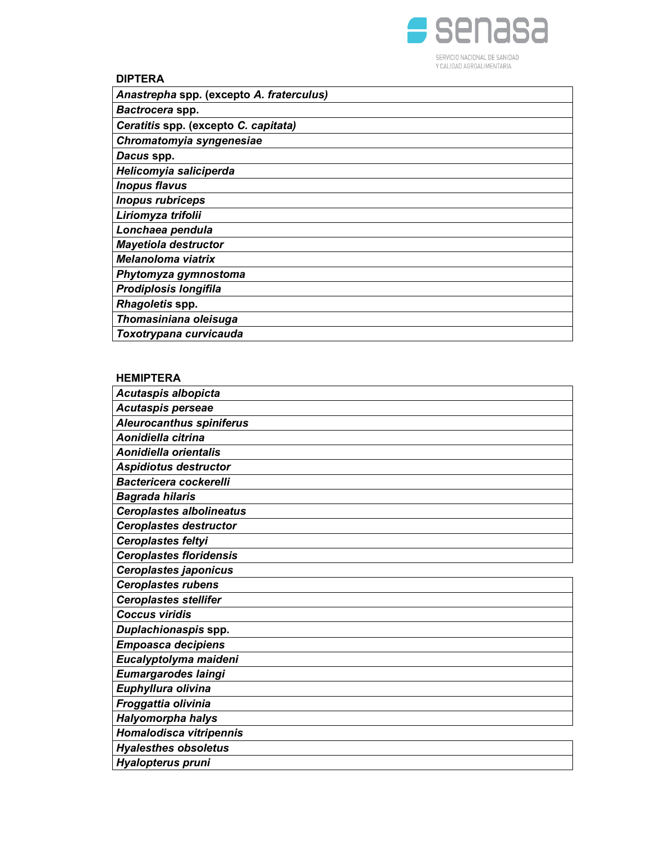

## DIPTERA

| Anastrepha spp. (excepto A. fraterculus) |
|------------------------------------------|
| Bactrocera spp.                          |
| Ceratitis spp. (excepto C. capitata)     |
| Chromatomyia syngenesiae                 |
| Dacus spp.                               |
| Helicomyia saliciperda                   |
| <b>Inopus flavus</b>                     |
| <b>Inopus rubriceps</b>                  |
| Liriomyza trifolii                       |
| Lonchaea pendula                         |
| <b>Mayetiola destructor</b>              |
| <b>Melanoloma viatrix</b>                |
| Phytomyza gymnostoma                     |
| Prodiplosis longifila                    |
| Rhagoletis spp.                          |
| Thomasiniana oleisuga                    |
| Toxotrypana curvicauda                   |

### HEMIPTERA

| Acutaspis albopicta             |
|---------------------------------|
| Acutaspis perseae               |
| <b>Aleurocanthus spiniferus</b> |
| Aonidiella citrina              |
| Aonidiella orientalis           |
| <b>Aspidiotus destructor</b>    |
| <b>Bactericera cockerelli</b>   |
| <b>Bagrada hilaris</b>          |
| <b>Ceroplastes albolineatus</b> |
| <b>Ceroplastes destructor</b>   |
| Ceroplastes feltyi              |
| <b>Ceroplastes floridensis</b>  |
| <b>Ceroplastes japonicus</b>    |
| <b>Ceroplastes rubens</b>       |
| <b>Ceroplastes stellifer</b>    |
| <b>Coccus viridis</b>           |
| Duplachionaspis spp.            |
| <b>Empoasca decipiens</b>       |
| Eucalyptolyma maideni           |
| Eumargarodes laingi             |
| Euphyllura olivina              |
| Froggattia olivinia             |
| Halyomorpha halys               |
| Homalodisca vitripennis         |
| <b>Hyalesthes obsoletus</b>     |
| Hyalopterus pruni               |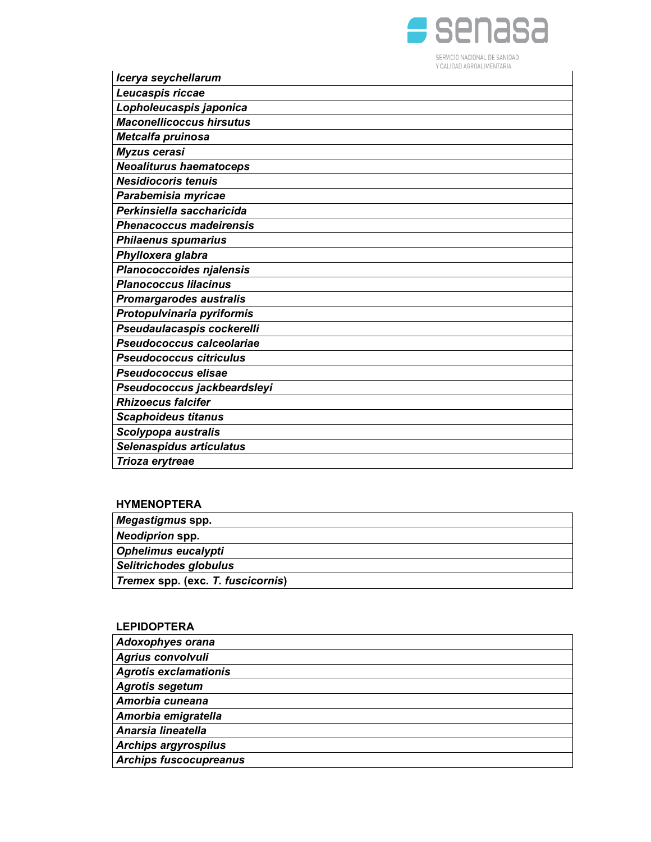

| Icerya seychellarum             |
|---------------------------------|
| Leucaspis riccae                |
| Lopholeucaspis japonica         |
| <b>Maconellicoccus hirsutus</b> |
| Metcalfa pruinosa               |
| <b>Myzus cerasi</b>             |
| <b>Neoaliturus haematoceps</b>  |
| <b>Nesidiocoris tenuis</b>      |
| Parabemisia myricae             |
| Perkinsiella saccharicida       |
| <b>Phenacoccus madeirensis</b>  |
| <b>Philaenus spumarius</b>      |
| Phylloxera glabra               |
| <b>Planococcoides njalensis</b> |
| <b>Planococcus lilacinus</b>    |
| <b>Promargarodes australis</b>  |
| Protopulvinaria pyriformis      |
| Pseudaulacaspis cockerelli      |
| Pseudococcus calceolariae       |
| <b>Pseudococcus citriculus</b>  |
| Pseudococcus elisae             |
| Pseudococcus jackbeardsleyi     |
| <b>Rhizoecus falcifer</b>       |
| <b>Scaphoideus titanus</b>      |
| Scolypopa australis             |
| Selenaspidus articulatus        |
| Trioza erytreae                 |

## HYMENOPTERA

| Megastigmus spp.                  |  |
|-----------------------------------|--|
| <b>Neodiprion spp.</b>            |  |
| Ophelimus eucalypti               |  |
| Selitrichodes globulus            |  |
| Tremex spp. (exc. T. fuscicornis) |  |
|                                   |  |

# LEPIDOPTERA

| <b>Adoxophyes orana</b>       |
|-------------------------------|
| <b>Agrius convolvuli</b>      |
| <b>Agrotis exclamationis</b>  |
| <b>Agrotis segetum</b>        |
| Amorbia cuneana               |
| Amorbia emigratella           |
| Anarsia lineatella            |
| <b>Archips argyrospilus</b>   |
| <b>Archips fuscocupreanus</b> |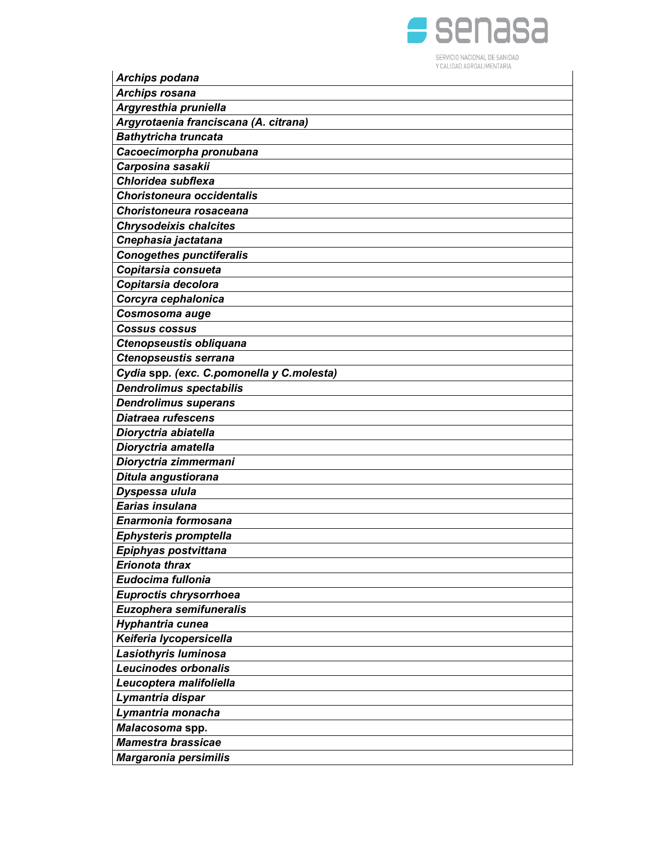

| <b>Archips podana</b>                     | Y CALIDAD AGRUALIMENTARIA |
|-------------------------------------------|---------------------------|
| <b>Archips rosana</b>                     |                           |
| Argyresthia pruniella                     |                           |
| Argyrotaenia franciscana (A. citrana)     |                           |
| <b>Bathytricha truncata</b>               |                           |
|                                           |                           |
| Cacoecimorpha pronubana                   |                           |
| Carposina sasakii<br>Chloridea subflexa   |                           |
| <b>Choristoneura occidentalis</b>         |                           |
|                                           |                           |
| Choristoneura rosaceana                   |                           |
| <b>Chrysodeixis chalcites</b>             |                           |
| Cnephasia jactatana                       |                           |
| <b>Conogethes punctiferalis</b>           |                           |
| Copitarsia consueta                       |                           |
| Copitarsia decolora                       |                           |
| Corcyra cephalonica                       |                           |
| Cosmosoma auge                            |                           |
| <b>Cossus cossus</b>                      |                           |
| Ctenopseustis obliquana                   |                           |
| <b>Ctenopseustis serrana</b>              |                           |
| Cydia spp. (exc. C.pomonella y C.molesta) |                           |
| <b>Dendrolimus spectabilis</b>            |                           |
| <b>Dendrolimus superans</b>               |                           |
| <b>Diatraea rufescens</b>                 |                           |
| Dioryctria abiatella                      |                           |
| Dioryctria amatella                       |                           |
| Dioryctria zimmermani                     |                           |
| Ditula angustiorana                       |                           |
| Dyspessa ulula                            |                           |
| Earias insulana                           |                           |
| Enarmonia formosana                       |                           |
| Ephysteris promptella                     |                           |
| Epiphyas postvittana                      |                           |
| <b>Erionota thrax</b>                     |                           |
| Eudocima fullonia                         |                           |
| Euproctis chrysorrhoea                    |                           |
| Euzophera semifuneralis                   |                           |
| Hyphantria cunea                          |                           |
| Keiferia lycopersicella                   |                           |
| Lasiothyris luminosa                      |                           |
| <b>Leucinodes orbonalis</b>               |                           |
| Leucoptera malifoliella                   |                           |
| Lymantria dispar                          |                           |
| Lymantria monacha                         |                           |
| Malacosoma spp.                           |                           |
| <b>Mamestra brassicae</b>                 |                           |
| <b>Margaronia persimilis</b>              |                           |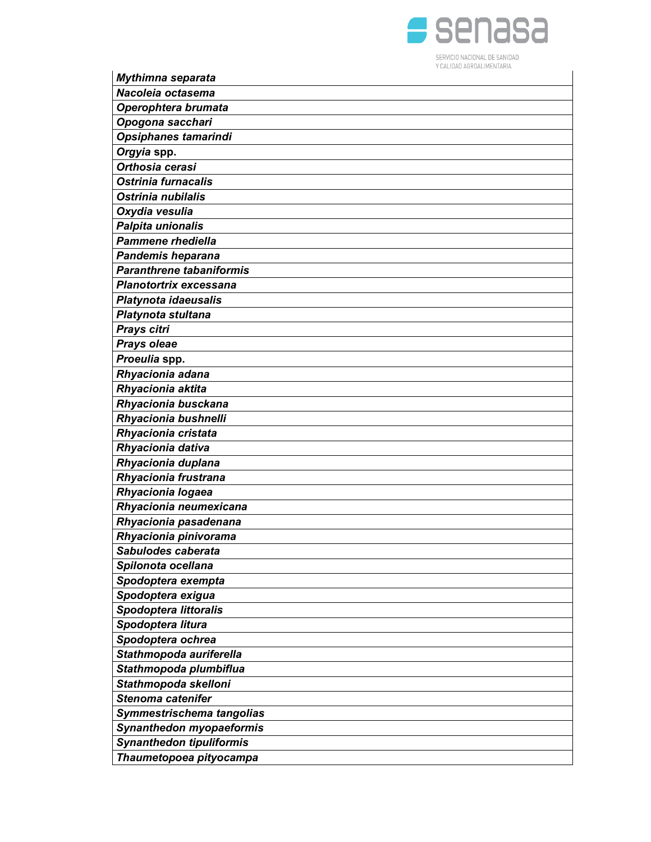

| Mythimna separata               |
|---------------------------------|
| Nacoleia octasema               |
| Operophtera brumata             |
| Opogona sacchari                |
| Opsiphanes tamarindi            |
| Orgyia spp.                     |
| Orthosia cerasi                 |
| Ostrinia furnacalis             |
| Ostrinia nubilalis              |
| Oxydia vesulia                  |
| Palpita unionalis               |
| <b>Pammene rhediella</b>        |
| Pandemis heparana               |
| <b>Paranthrene tabaniformis</b> |
| Planotortrix excessana          |
| Platynota idaeusalis            |
| Platynota stultana              |
| Prays citri                     |
| Prays oleae                     |
| Proeulia spp.                   |
| Rhyacionia adana                |
| Rhyacionia aktita               |
| Rhyacionia busckana             |
| Rhyacionia bushnelli            |
| Rhyacionia cristata             |
| Rhyacionia dativa               |
| Rhyacionia duplana              |
| Rhyacionia frustrana            |
| Rhyacionia logaea               |
| Rhyacionia neumexicana          |
| Rhyacionia pasadenana           |
| Rhyacionia pinivorama           |
| Sabulodes caberata              |
| Spilonota ocellana              |
| Spodoptera exempta              |
| Spodoptera exigua               |
| <b>Spodoptera littoralis</b>    |
| Spodoptera litura               |
| Spodoptera ochrea               |
| Stathmopoda auriferella         |
| Stathmopoda plumbiflua          |
| Stathmopoda skelloni            |
| Stenoma catenifer               |
| Symmestrischema tangolias       |
| Synanthedon myopaeformis        |
| <b>Synanthedon tipuliformis</b> |
| Thaumetopoea pityocampa         |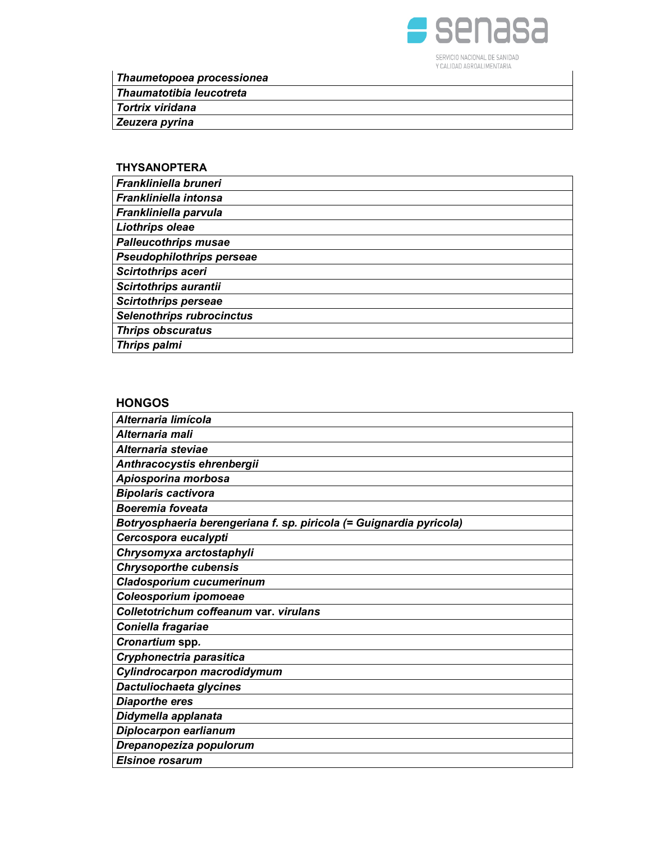

Thaumetopoea processionea

Thaumatotibia leucotreta

Tortrix viridana

Zeuzera pyrina

## THYSANOPTERA

| Frankliniella bruneri            |
|----------------------------------|
| Frankliniella intonsa            |
| Frankliniella parvula            |
| Liothrips oleae                  |
| <b>Palleucothrips musae</b>      |
| Pseudophilothrips perseae        |
| <b>Scirtothrips aceri</b>        |
| Scirtothrips aurantii            |
| <b>Scirtothrips perseae</b>      |
| <b>Selenothrips rubrocinctus</b> |
| <b>Thrips obscuratus</b>         |
| <b>Thrips palmi</b>              |

### **HONGOS**

| Alternaria limícola                                                 |
|---------------------------------------------------------------------|
| Alternaria mali                                                     |
| Alternaria steviae                                                  |
| Anthracocystis ehrenbergii                                          |
| Apiosporina morbosa                                                 |
| <b>Bipolaris cactivora</b>                                          |
| <b>Boeremia foveata</b>                                             |
| Botryosphaeria berengeriana f. sp. piricola (= Guignardia pyricola) |
| Cercospora eucalypti                                                |
| Chrysomyxa arctostaphyli                                            |
| <b>Chrysoporthe cubensis</b>                                        |
| <b>Cladosporium cucumerinum</b>                                     |
| Coleosporium ipomoeae                                               |
| Colletotrichum coffeanum var. virulans                              |
| Coniella fragariae                                                  |
| Cronartium spp.                                                     |
| Cryphonectria parasitica                                            |
| Cylindrocarpon macrodidymum                                         |
| Dactuliochaeta glycines                                             |
| <b>Diaporthe eres</b>                                               |
| Didymella applanata                                                 |
| Diplocarpon earlianum                                               |
| Drepanopeziza populorum                                             |
| <b>Elsinoe rosarum</b>                                              |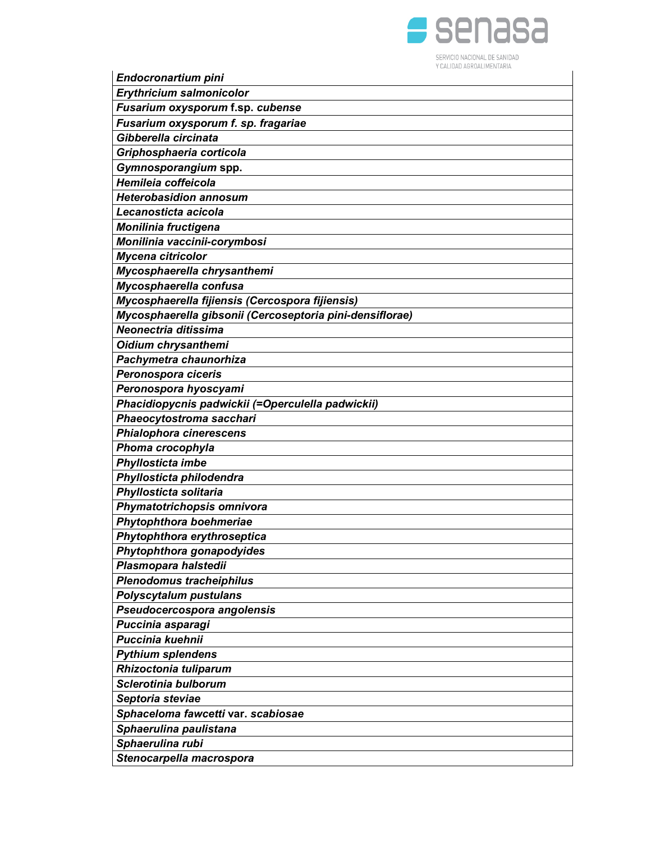

| Endocronartium pini                                      | UALIDAD AURUALIMENTARIA |
|----------------------------------------------------------|-------------------------|
| <b>Erythricium salmonicolor</b>                          |                         |
| Fusarium oxysporum f.sp. cubense                         |                         |
| Fusarium oxysporum f. sp. fragariae                      |                         |
| Gibberella circinata                                     |                         |
| Griphosphaeria corticola                                 |                         |
| Gymnosporangium spp.                                     |                         |
| Hemileia coffeicola                                      |                         |
| <b>Heterobasidion annosum</b>                            |                         |
| Lecanosticta acicola                                     |                         |
| <b>Monilinia fructigena</b>                              |                         |
| Monilinia vaccinii-corymbosi                             |                         |
| Mycena citricolor                                        |                         |
| Mycosphaerella chrysanthemi                              |                         |
| Mycosphaerella confusa                                   |                         |
| Mycosphaerella fijiensis (Cercospora fijiensis)          |                         |
| Mycosphaerella gibsonii (Cercoseptoria pini-densiflorae) |                         |
| Neonectria ditissima                                     |                         |
| Oidium chrysanthemi                                      |                         |
| Pachymetra chaunorhiza                                   |                         |
| Peronospora ciceris                                      |                         |
| Peronospora hyoscyami                                    |                         |
| Phacidiopycnis padwickii (=Operculella padwickii)        |                         |
| Phaeocytostroma sacchari                                 |                         |
| Phialophora cinerescens                                  |                         |
| Phoma crocophyla<br>Phyllosticta imbe                    |                         |
| Phyllosticta philodendra                                 |                         |
| Phyllosticta solitaria                                   |                         |
| Phymatotrichopsis omnivora                               |                         |
| Phytophthora boehmeriae                                  |                         |
| Phytophthora erythroseptica                              |                         |
| Phytophthora gonapodyides                                |                         |
| Plasmopara halstedii                                     |                         |
| <b>Plenodomus tracheiphilus</b>                          |                         |
| <b>Polyscytalum pustulans</b>                            |                         |
| Pseudocercospora angolensis                              |                         |
| Puccinia asparagi                                        |                         |
| <b>Puccinia kuehnii</b>                                  |                         |
| <b>Pythium splendens</b>                                 |                         |
| Rhizoctonia tuliparum                                    |                         |
| Sclerotinia bulborum                                     |                         |
| Septoria steviae                                         |                         |
| Sphaceloma fawcetti var. scabiosae                       |                         |
| Sphaerulina paulistana                                   |                         |
| Sphaerulina rubi                                         |                         |
| Stenocarpella macrospora                                 |                         |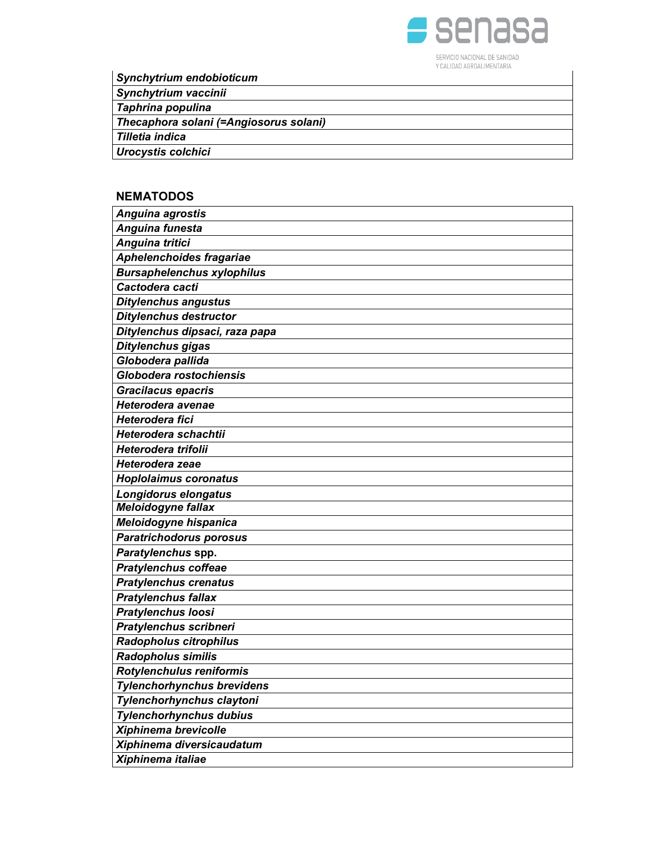

Synchytrium endobioticum

Synchytrium vaccinii

Taphrina populina

Thecaphora solani (=Angiosorus solani)

Tilletia indica

Urocystis colchici

## **NEMATODOS**

| Anguina agrostis                  |
|-----------------------------------|
| Anguina funesta                   |
| Anguina tritici                   |
| Aphelenchoides fragariae          |
| <b>Bursaphelenchus xylophilus</b> |
| Cactodera cacti                   |
| <b>Ditylenchus angustus</b>       |
| <b>Ditylenchus destructor</b>     |
| Ditylenchus dipsaci, raza papa    |
| Ditylenchus gigas                 |
| Globodera pallida                 |
| Globodera rostochiensis           |
| <b>Gracilacus epacris</b>         |
| Heterodera avenae                 |
| Heterodera fici                   |
| Heterodera schachtii              |
| Heterodera trifolii               |
| Heterodera zeae                   |
| <b>Hoplolaimus coronatus</b>      |
| Longidorus elongatus              |
| Meloidogyne fallax                |
| Meloidogyne hispanica             |
| <b>Paratrichodorus porosus</b>    |
| Paratylenchus spp.                |
| <b>Pratylenchus coffeae</b>       |
| <b>Pratylenchus crenatus</b>      |
| <b>Pratylenchus fallax</b>        |
| <b>Pratylenchus loosi</b>         |
| Pratylenchus scribneri            |
| Radopholus citrophilus            |
| <b>Radopholus similis</b>         |
| Rotylenchulus reniformis          |
| <b>Tylenchorhynchus brevidens</b> |
| Tylenchorhynchus claytoni         |
| <b>Tylenchorhynchus dubius</b>    |
| Xiphinema brevicolle              |
| Xiphinema diversicaudatum         |
| Xiphinema italiae                 |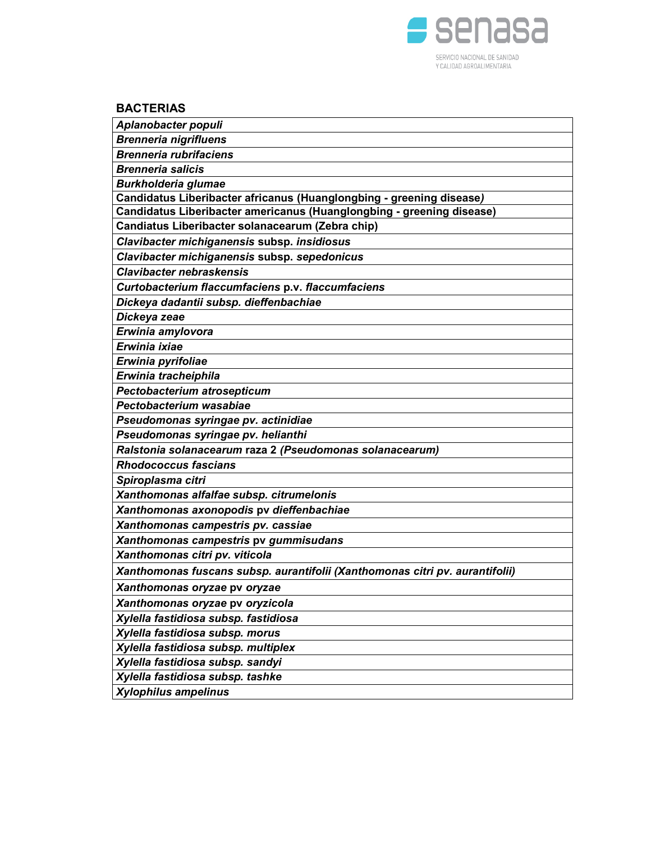

# **BACTERIAS**

| Aplanobacter populi                                                          |
|------------------------------------------------------------------------------|
| <b>Brenneria nigrifluens</b>                                                 |
| <b>Brenneria rubrifaciens</b>                                                |
| <b>Brenneria salicis</b>                                                     |
| <b>Burkholderia glumae</b>                                                   |
| Candidatus Liberibacter africanus (Huanglongbing - greening disease)         |
| Candidatus Liberibacter americanus (Huanglongbing - greening disease)        |
| Candiatus Liberibacter solanacearum (Zebra chip)                             |
| Clavibacter michiganensis subsp. insidiosus                                  |
| Clavibacter michiganensis subsp. sepedonicus                                 |
| <b>Clavibacter nebraskensis</b>                                              |
| Curtobacterium flaccumfaciens p.v. flaccumfaciens                            |
| Dickeya dadantii subsp. dieffenbachiae                                       |
| Dickeya zeae                                                                 |
| Erwinia amylovora                                                            |
| Erwinia ixiae                                                                |
| Erwinia pyrifoliae                                                           |
| Erwinia tracheiphila                                                         |
| Pectobacterium atrosepticum                                                  |
| Pectobacterium wasabiae                                                      |
| Pseudomonas syringae pv. actinidiae                                          |
| Pseudomonas syringae pv. helianthi                                           |
| Ralstonia solanacearum raza 2 (Pseudomonas solanacearum)                     |
| <b>Rhodococcus fascians</b>                                                  |
| Spiroplasma citri                                                            |
| Xanthomonas alfalfae subsp. citrumelonis                                     |
| Xanthomonas axonopodis pv dieffenbachiae                                     |
| Xanthomonas campestris pv. cassiae                                           |
| Xanthomonas campestris pv gummisudans                                        |
| Xanthomonas citri pv. viticola                                               |
| Xanthomonas fuscans subsp. aurantifolii (Xanthomonas citri pv. aurantifolii) |
| Xanthomonas oryzae pv oryzae                                                 |
| Xanthomonas oryzae pv oryzicola                                              |
| Xylella fastidiosa subsp. fastidiosa                                         |
| Xylella fastidiosa subsp. morus                                              |
| Xylella fastidiosa subsp. multiplex                                          |
| Xylella fastidiosa subsp. sandyi                                             |
| Xylella fastidiosa subsp. tashke                                             |
| <b>Xylophilus ampelinus</b>                                                  |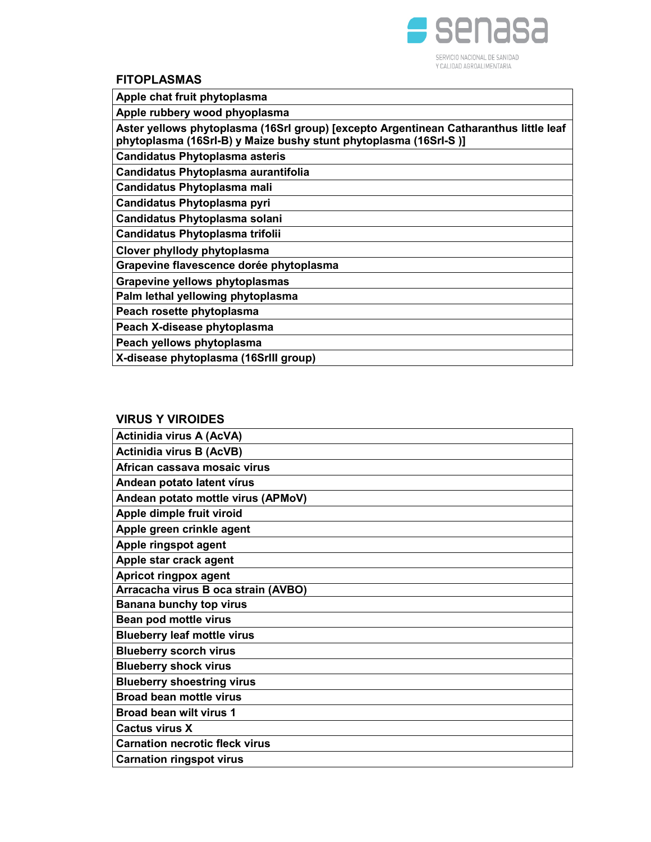

I

### FITOPLASMAS

| טחווטה בא זיוו                                                                                                                                            |
|-----------------------------------------------------------------------------------------------------------------------------------------------------------|
| Apple chat fruit phytoplasma                                                                                                                              |
| Apple rubbery wood phyoplasma                                                                                                                             |
| Aster yellows phytoplasma (16Srl group) [excepto Argentinean Catharanthus little leaf<br>phytoplasma (16Srl-B) y Maize bushy stunt phytoplasma (16Srl-S)] |
| <b>Candidatus Phytoplasma asteris</b>                                                                                                                     |
| Candidatus Phytoplasma aurantifolia                                                                                                                       |
| Candidatus Phytoplasma mali                                                                                                                               |
| Candidatus Phytoplasma pyri                                                                                                                               |
| Candidatus Phytoplasma solani                                                                                                                             |
| <b>Candidatus Phytoplasma trifolii</b>                                                                                                                    |
| Clover phyllody phytoplasma                                                                                                                               |
| Grapevine flavescence dorée phytoplasma                                                                                                                   |
| Grapevine yellows phytoplasmas                                                                                                                            |
| Palm lethal yellowing phytoplasma                                                                                                                         |
| Peach rosette phytoplasma                                                                                                                                 |
| Peach X-disease phytoplasma                                                                                                                               |
| Peach yellows phytoplasma                                                                                                                                 |
| X-disease phytoplasma (16Srlll group)                                                                                                                     |
|                                                                                                                                                           |

### VIRUS Y VIROIDES

| <b>Actinidia virus A (AcVA)</b>       |
|---------------------------------------|
| <b>Actinidia virus B (AcVB)</b>       |
| African cassava mosaic virus          |
| Andean potato latent vírus            |
| Andean potato mottle virus (APMoV)    |
| Apple dimple fruit viroid             |
| Apple green crinkle agent             |
| Apple ringspot agent                  |
| Apple star crack agent                |
| Apricot ringpox agent                 |
| Arracacha virus B oca strain (AVBO)   |
| Banana bunchy top virus               |
| Bean pod mottle virus                 |
| <b>Blueberry leaf mottle virus</b>    |
| <b>Blueberry scorch virus</b>         |
| <b>Blueberry shock virus</b>          |
| <b>Blueberry shoestring virus</b>     |
| <b>Broad bean mottle virus</b>        |
| <b>Broad bean wilt virus 1</b>        |
| <b>Cactus virus X</b>                 |
| <b>Carnation necrotic fleck virus</b> |
| <b>Carnation ringspot virus</b>       |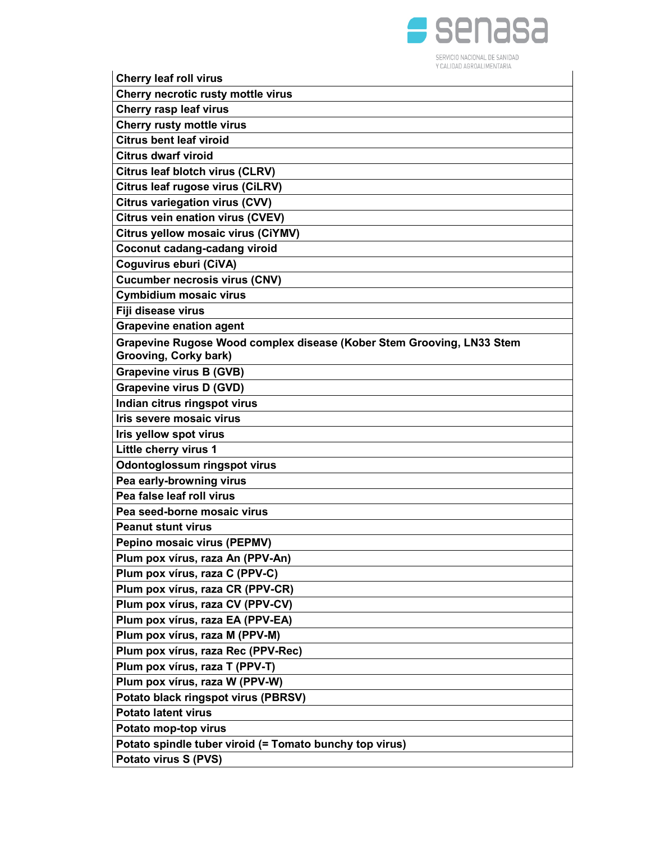

| <b>Cherry leaf roll virus</b>                                         |
|-----------------------------------------------------------------------|
| Cherry necrotic rusty mottle virus                                    |
| Cherry rasp leaf virus                                                |
| <b>Cherry rusty mottle virus</b>                                      |
| <b>Citrus bent leaf viroid</b>                                        |
| <b>Citrus dwarf viroid</b>                                            |
| Citrus leaf blotch virus (CLRV)                                       |
| Citrus leaf rugose virus (CiLRV)                                      |
| <b>Citrus variegation virus (CVV)</b>                                 |
| Citrus vein enation virus (CVEV)                                      |
| Citrus yellow mosaic virus (CiYMV)                                    |
| Coconut cadang-cadang viroid                                          |
| Coguvirus eburi (CiVA)                                                |
| <b>Cucumber necrosis virus (CNV)</b>                                  |
| Cymbidium mosaic virus                                                |
| Fiji disease virus                                                    |
| <b>Grapevine enation agent</b>                                        |
| Grapevine Rugose Wood complex disease (Kober Stem Grooving, LN33 Stem |
| Grooving, Corky bark)                                                 |
| <b>Grapevine virus B (GVB)</b>                                        |
| <b>Grapevine virus D (GVD)</b>                                        |
| Indian citrus ringspot virus                                          |
| Iris severe mosaic virus                                              |
| Iris yellow spot virus                                                |
| Little cherry virus 1                                                 |
| Odontoglossum ringspot virus                                          |
| Pea early-browning virus                                              |
| Pea false leaf roll virus                                             |
| Pea seed-borne mosaic virus                                           |
| <b>Peanut stunt virus</b>                                             |
| Pepino mosaic virus (PEPMV)                                           |
| Plum pox vírus, raza An (PPV-An)                                      |
| Plum pox vírus, raza C (PPV-C)                                        |
| Plum pox vírus, raza CR (PPV-CR)                                      |
| Plum pox vírus, raza CV (PPV-CV)                                      |
| Plum pox vírus, raza EA (PPV-EA)                                      |
| Plum pox vírus, raza M (PPV-M)                                        |
| Plum pox vírus, raza Rec (PPV-Rec)                                    |
| Plum pox vírus, raza T (PPV-T)                                        |
| Plum pox vírus, raza W (PPV-W)                                        |
| Potato black ringspot virus (PBRSV)                                   |
| <b>Potato latent virus</b>                                            |
| Potato mop-top virus                                                  |
| Potato spindle tuber viroid (= Tomato bunchy top virus)               |
| Potato virus S (PVS)                                                  |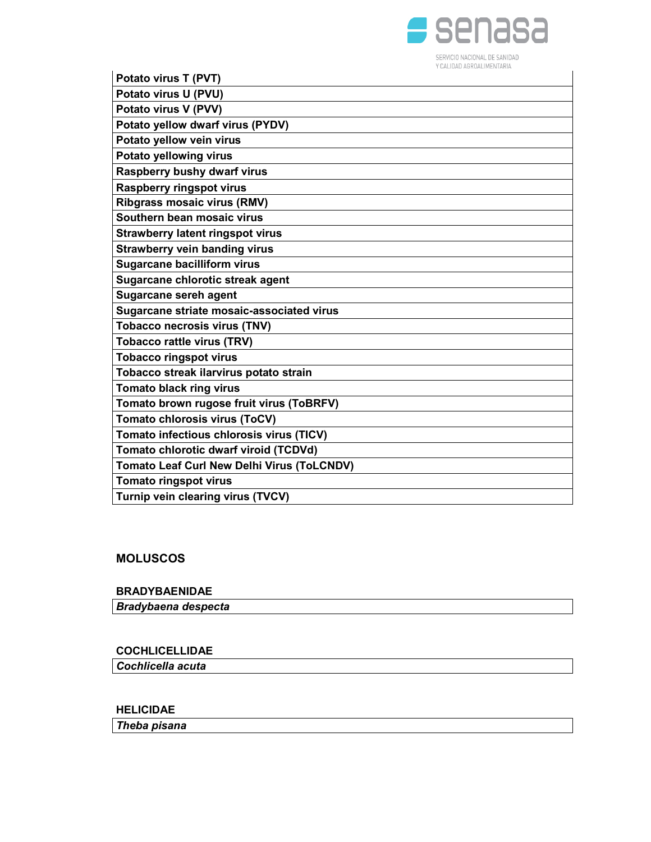

| Potato virus T (PVT)                              |
|---------------------------------------------------|
| Potato virus U (PVU)                              |
| Potato virus V (PVV)                              |
| Potato yellow dwarf virus (PYDV)                  |
| Potato yellow vein virus                          |
| Potato yellowing virus                            |
| Raspberry bushy dwarf virus                       |
| <b>Raspberry ringspot virus</b>                   |
| Ribgrass mosaic virus (RMV)                       |
| Southern bean mosaic virus                        |
| <b>Strawberry latent ringspot virus</b>           |
| <b>Strawberry vein banding virus</b>              |
| <b>Sugarcane bacilliform virus</b>                |
| Sugarcane chlorotic streak agent                  |
| <b>Sugarcane sereh agent</b>                      |
| Sugarcane striate mosaic-associated virus         |
| <b>Tobacco necrosis virus (TNV)</b>               |
| <b>Tobacco rattle virus (TRV)</b>                 |
| <b>Tobacco ringspot virus</b>                     |
| Tobacco streak ilarvirus potato strain            |
| <b>Tomato black ring virus</b>                    |
| Tomato brown rugose fruit virus (ToBRFV)          |
| Tomato chlorosis virus (ToCV)                     |
| Tomato infectious chlorosis virus (TICV)          |
| Tomato chlorotic dwarf viroid (TCDVd)             |
| <b>Tomato Leaf Curl New Delhi Virus (ToLCNDV)</b> |
| <b>Tomato ringspot virus</b>                      |
| Turnip vein clearing virus (TVCV)                 |

# MOLUSCOS

### BRADYBAENIDAE

Bradybaena despecta

# COCHLICELLIDAE

Cochlicella acuta

# HELICIDAE

Theba pisana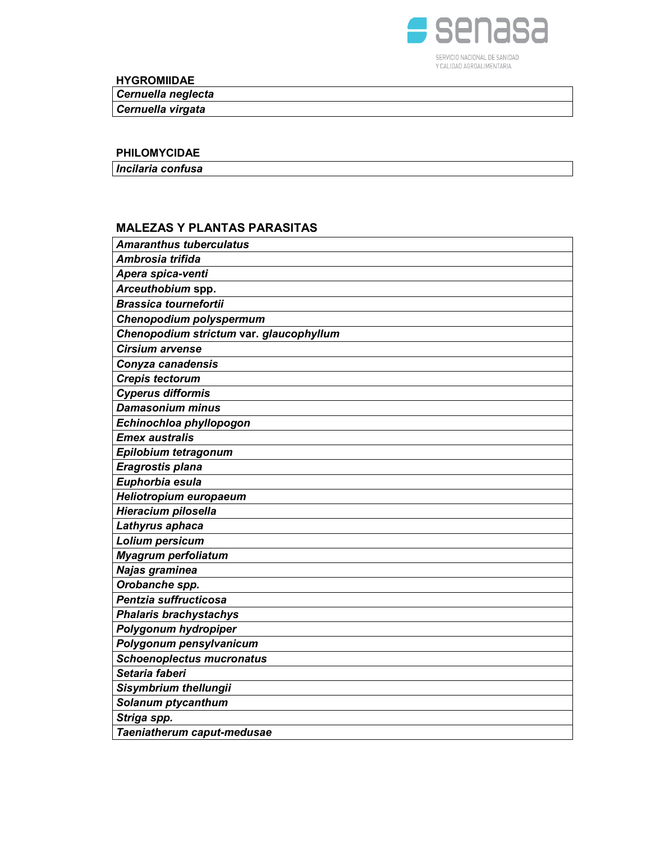

HYGROMIIDAE

Cernuella neglecta

Cernuella virgata

### PHILOMYCIDAE

Incilaria confusa

### MALEZAS Y PLANTAS PARASITAS

| <b>Amaranthus tuberculatus</b>          |
|-----------------------------------------|
| Ambrosia trifida                        |
| Apera spica-venti                       |
| Arceuthobium spp.                       |
| <b>Brassica tournefortii</b>            |
| Chenopodium polyspermum                 |
| Chenopodium strictum var. glaucophyllum |
| <b>Cirsium arvense</b>                  |
| Conyza canadensis                       |
| <b>Crepis tectorum</b>                  |
| <b>Cyperus difformis</b>                |
| <b>Damasonium minus</b>                 |
| Echinochloa phyllopogon                 |
| <b>Emex australis</b>                   |
| Epilobium tetragonum                    |
| Eragrostis plana                        |
| Euphorbia esula                         |
| Heliotropium europaeum                  |
| Hieracium pilosella                     |
| Lathyrus aphaca                         |
| Lolium persicum                         |
| <b>Myagrum perfoliatum</b>              |
| Najas graminea                          |
| Orobanche spp.                          |
| Pentzia suffructicosa                   |
| <b>Phalaris brachystachys</b>           |
| Polygonum hydropiper                    |
| Polygonum pensylvanicum                 |
| <b>Schoenoplectus mucronatus</b>        |
| Setaria faberi                          |
| Sisymbrium thellungii                   |
| Solanum ptycanthum                      |
| Striga spp.                             |
| Taeniatherum caput-medusae              |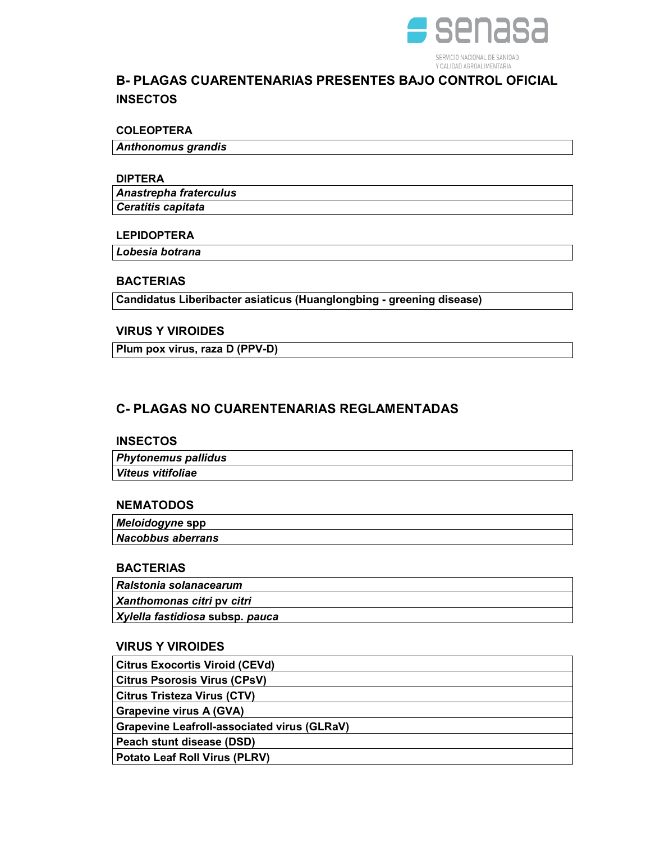

# B- PLAGAS CUARENTENARIAS PRESENTES BAJO CONTROL OFICIAL **INSECTOS**

### COLEOPTERA

Anthonomus grandis

#### DIPTERA

 Ceratitis capitata Anastrepha fraterculus

### LEPIDOPTERA

Lobesia botrana

### **BACTERIAS**

Candidatus Liberibacter asiaticus (Huanglongbing - greening disease)

## VIRUS Y VIROIDES

Plum pox virus, raza D (PPV-D)

# C- PLAGAS NO CUARENTENARIAS REGLAMENTADAS

### **INSECTOS**

| <b>Phytonemus pallidus</b> |  |
|----------------------------|--|
| Viteus vitifoliae          |  |

## **NEMATODOS**

| Meloidogyne spp   |  |
|-------------------|--|
| Nacobbus aberrans |  |

### **BACTERIAS**

| Ralstonia solanacearum          |
|---------------------------------|
| Xanthomonas citri py citri      |
| Xylella fastidiosa subsp. pauca |

### VIRUS Y VIROIDES

| <b>Citrus Exocortis Viroid (CEVd)</b>              |
|----------------------------------------------------|
| <b>Citrus Psorosis Virus (CPsV)</b>                |
| <b>Citrus Tristeza Virus (CTV)</b>                 |
| Grapevine virus A (GVA)                            |
| <b>Grapevine Leafroll-associated virus (GLRaV)</b> |
| Peach stunt disease (DSD)                          |
| <b>Potato Leaf Roll Virus (PLRV)</b>               |